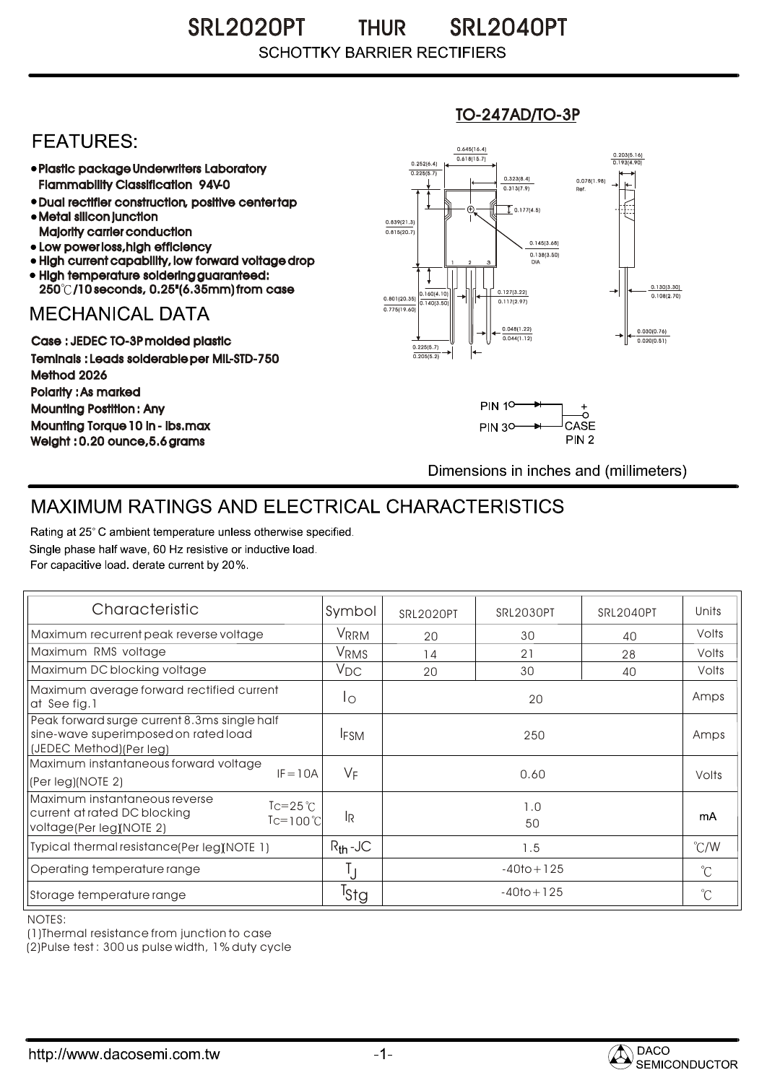### SRL2020PT THUR SRL2040PT THUR **SCHOTTKY BARRIER RECTIFIERS**

## **FEATURES**

- Plastic package Underwriters Laboratory Flammability Classification 94V-0
- Dual rectifier construction, positive center tap Metal silicon junction
- Majority carrier conduction
- Low power loss, high efficiency
- High current capability, low forward voltage drop • High temperature soldering guaranteed:
- 250 /10 seconds, 0.25"(6.35mm) from case

## **MECHANICAL DATA**

Case : JEDEC TO-3P molded plastic Teminals : Leads solderable per MIL-STD-750 Method 2026 Polarity : As marked Mounting Postition : Any Mounting Torque 10 in - lbs.max Weight : 0.20 ounce,5.6 grams

#### 0.160(4.10)  $0.140(3)$ 0.127(3.22) 0.117(2.97) 0.030(0.76) 0.020(0.51) 0.801(20.35) 0.138(3.50) 0.145(3.68) 0.775(19.60) 0.839(21.3)<br>0.815(20.7) 0.252(6.4) 0.225(5.7)  $0.618(15.7)$ 0.645(16.4) 0.203(5.16) 0.193(4.90) <sup>1</sup> <sup>2</sup> 3 DIA  $\overline{1}$  0.177(4.5) 0.078(1.98) Ref. 0.130(3.30)<br>0.108(2.70) 0.225(5.7) 0.205(5.2)  $0.313(7.9)$ 0.323(8.4) 0.048(1.22) 0.044(1.12)

TO-247AD/TO-3P



Dimensions in inches and (millimeters)

# MAXIMUM RATINGS AND ELECTRICAL CHARACTERISTICS

Rating at 25° C ambient temperature unless otherwise specified. Single phase half wave, 60 Hz resistive or inductive load. For capacitive load, derate current by 20%.

| Characteristic                                                                                                                       | Symbol           | <b>SRL2020PT</b> | SRL2030PT | SRL2040PT | Units         |
|--------------------------------------------------------------------------------------------------------------------------------------|------------------|------------------|-----------|-----------|---------------|
| Maximum recurrent peak reverse voltage                                                                                               | VRRM             | 20               | 30        | 40        | Volts         |
| Maximum RMS voltage                                                                                                                  | V <sub>RMS</sub> | 14               | 21        | 28        | Volts         |
| Maximum DC blocking voltage                                                                                                          | $V_{\text{DC}}$  | 20               | 30        | 40        | Volts         |
| Maximum average forward rectified current<br>at See fig.1                                                                            | Ιo               | 20               |           |           | Amps          |
| Peak forward surge current 8.3ms single half<br>sine-wave superimposed on rated load<br>(JEDEC Method) (Per leg)                     | <b>IFSM</b>      | 250              |           |           | Amps          |
| Maximum instantaneous forward voltage<br>$IF = 10A$<br>(Per leg)(NOTE 2)                                                             | $V_F$            | 0.60             |           |           | Volts         |
| Maximum instantaneous reverse<br>$Tc = 25^{\circ}C$<br>current at rated DC blocking<br>$Tc=100^{\circ}C$<br>voltage(Per leg)(NOTE 2) | lŖ               | 1.0<br>50        |           |           | mA            |
| Typical thermal resistance(Per leg)(NOTE 1)                                                                                          | $R_{th}$ -JC     | 1.5              |           |           | $\degree$ C/W |
| Operating temperature range                                                                                                          |                  | $-40$ to + 125   |           |           | $^{\circ}$ C  |
| Storage temperature range                                                                                                            | <sup>l</sup> Stg | $-40$ to + 125   |           |           | °C            |

NOTES:

(1)Thermal resistance from junction to case

(2)Pulse test : 300 us pulse width, 1% duty cycle